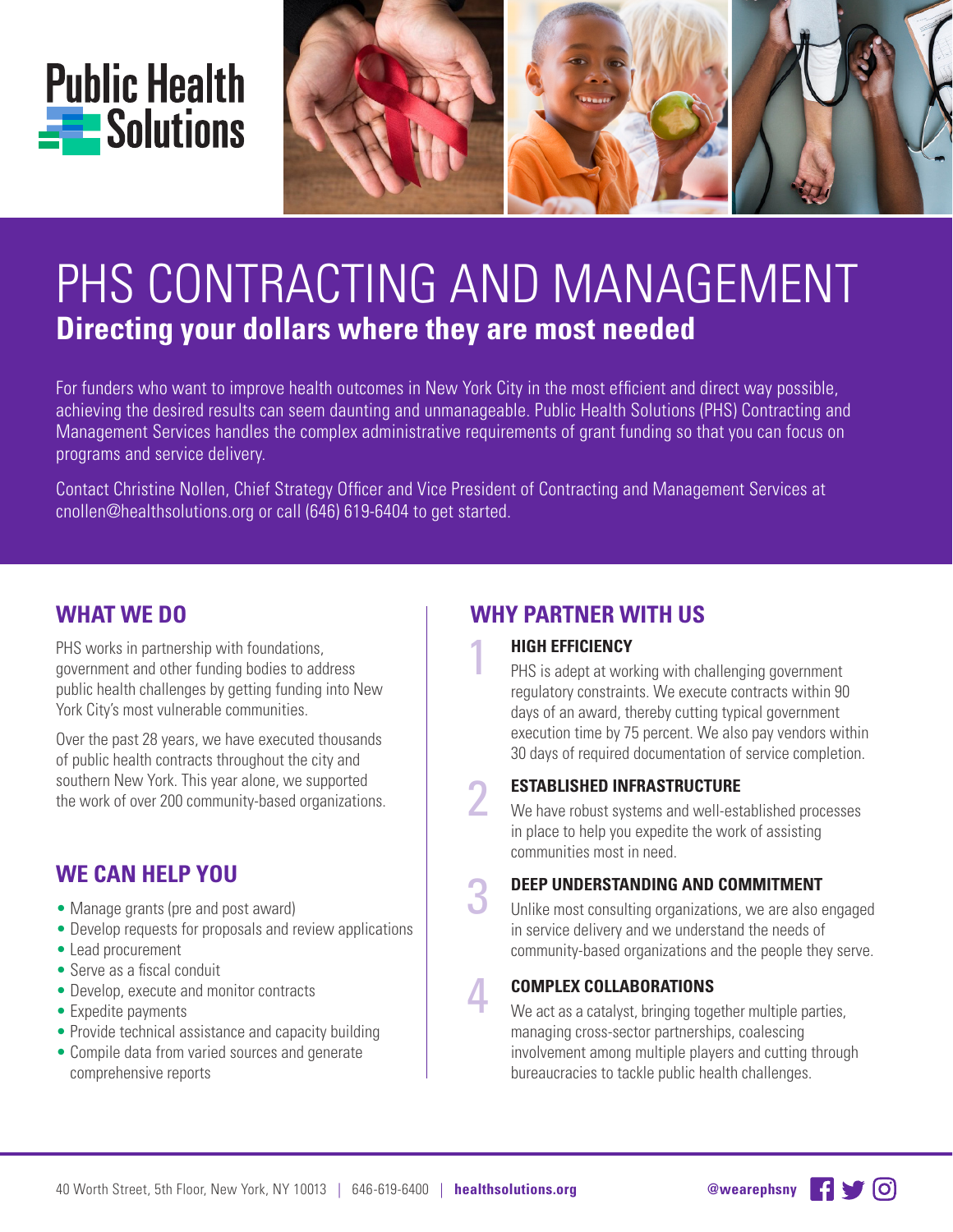



# PHS CONTRACTING AND MANAGEMENT **Directing your dollars where they are most needed**

For funders who want to improve health outcomes in New York City in the most efficient and direct way possible, achieving the desired results can seem daunting and unmanageable. Public Health Solutions (PHS) Contracting and Management Services handles the complex administrative requirements of grant funding so that you can focus on programs and service delivery.

Contact Christine Nollen, Chief Strategy Officer and Vice President of Contracting and Management Services at cnollen@healthsolutions.org or call (646) 619-6404 to get started.

## **WHAT WE DO**

PHS works in partnership with foundations, government and other funding bodies to address public health challenges by getting funding into New York City's most vulnerable communities.

Over the past 28 years, we have executed thousands of public health contracts throughout the city and southern New York. This year alone, we supported the work of over 200 community-based organizations.

### **WE CAN HELP YOU**

- Manage grants (pre and post award)
- Develop requests for proposals and review applications
- Lead procurement
- Serve as a fiscal conduit
- Develop, execute and monitor contracts
- Expedite payments
- Provide technical assistance and capacity building
- Compile data from varied sources and generate comprehensive reports

# **WHY PARTNER WITH US**

#### 1 **HIGH EFFICIENCY**

PHS is adept at working with challenging government regulatory constraints. We execute contracts within 90 days of an award, thereby cutting typical government execution time by 75 percent. We also pay vendors within 30 days of required documentation of service completion.

### 2 **ESTABLISHED INFRASTRUCTURE**

We have robust systems and well-established processes in place to help you expedite the work of assisting communities most in need.

#### 3 **DEEP UNDERSTANDING AND COMMITMENT**

Unlike most consulting organizations, we are also engaged in service delivery and we understand the needs of community-based organizations and the people they serve.

#### **COMPLEX COLLABORATIONS**

4

We act as a catalyst, bringing together multiple parties, managing cross-sector partnerships, coalescing involvement among multiple players and cutting through bureaucracies to tackle public health challenges.